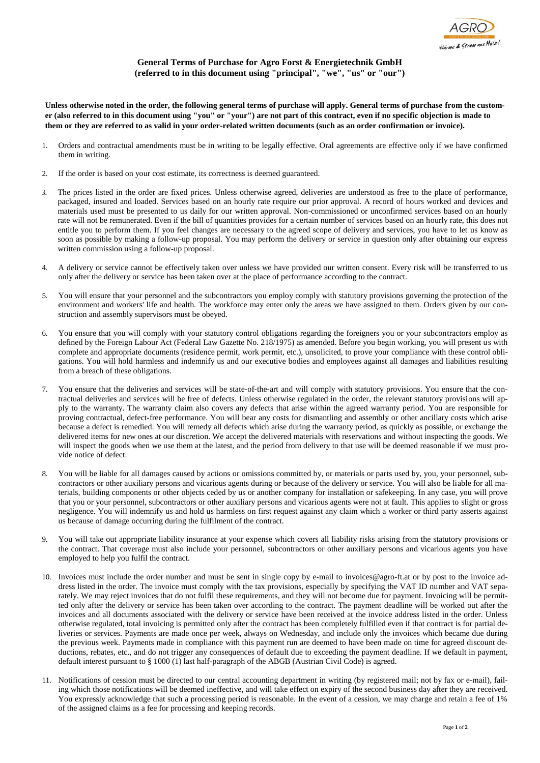## **General Terms of Purchase for Agro Forst & Energietechnik GmbH (referred to in this document using "principal", "we", "us" or "our")**

**Unless otherwise noted in the order, the following general terms of purchase will apply. General terms of purchase from the customer (also referred to in this document using "you" or "your") are not part of this contract, even if no specific objection is made to them or they are referred to as valid in your order-related written documents (such as an order confirmation or invoice).**

- 1. Orders and contractual amendments must be in writing to be legally effective. Oral agreements are effective only if we have confirmed them in writing.
- 2. If the order is based on your cost estimate, its correctness is deemed guaranteed.
- 3. The prices listed in the order are fixed prices. Unless otherwise agreed, deliveries are understood as free to the place of performance, packaged, insured and loaded. Services based on an hourly rate require our prior approval. A record of hours worked and devices and materials used must be presented to us daily for our written approval. Non-commissioned or unconfirmed services based on an hourly rate will not be remunerated. Even if the bill of quantities provides for a certain number of services based on an hourly rate, this does not entitle you to perform them. If you feel changes are necessary to the agreed scope of delivery and services, you have to let us know as soon as possible by making a follow-up proposal. You may perform the delivery or service in question only after obtaining our express written commission using a follow-up proposal.
- 4. A delivery or service cannot be effectively taken over unless we have provided our written consent. Every risk will be transferred to us only after the delivery or service has been taken over at the place of performance according to the contract.
- 5. You will ensure that your personnel and the subcontractors you employ comply with statutory provisions governing the protection of the environment and workers' life and health. The workforce may enter only the areas we have assigned to them. Orders given by our construction and assembly supervisors must be obeyed.
- 6. You ensure that you will comply with your statutory control obligations regarding the foreigners you or your subcontractors employ as defined by the Foreign Labour Act (Federal Law Gazette No. 218/1975) as amended. Before you begin working, you will present us with complete and appropriate documents (residence permit, work permit, etc.), unsolicited, to prove your compliance with these control obligations. You will hold harmless and indemnify us and our executive bodies and employees against all damages and liabilities resulting from a breach of these obligations.
- 7. You ensure that the deliveries and services will be state-of-the-art and will comply with statutory provisions. You ensure that the contractual deliveries and services will be free of defects. Unless otherwise regulated in the order, the relevant statutory provisions will apply to the warranty. The warranty claim also covers any defects that arise within the agreed warranty period. You are responsible for proving contractual, defect-free performance. You will bear any costs for dismantling and assembly or other ancillary costs which arise because a defect is remedied. You will remedy all defects which arise during the warranty period, as quickly as possible, or exchange the delivered items for new ones at our discretion. We accept the delivered materials with reservations and without inspecting the goods. We will inspect the goods when we use them at the latest, and the period from delivery to that use will be deemed reasonable if we must provide notice of defect.
- 8. You will be liable for all damages caused by actions or omissions committed by, or materials or parts used by, you, your personnel, subcontractors or other auxiliary persons and vicarious agents during or because of the delivery or service. You will also be liable for all materials, building components or other objects ceded by us or another company for installation or safekeeping. In any case, you will prove that you or your personnel, subcontractors or other auxiliary persons and vicarious agents were not at fault. This applies to slight or gross negligence. You will indemnify us and hold us harmless on first request against any claim which a worker or third party asserts against us because of damage occurring during the fulfilment of the contract.
- 9. You will take out appropriate liability insurance at your expense which covers all liability risks arising from the statutory provisions or the contract. That coverage must also include your personnel, subcontractors or other auxiliary persons and vicarious agents you have employed to help you fulfil the contract.
- 10. Invoices must include the order number and must be sent in single copy by e-mail to invoices@agro-ft.at or by post to the invoice address listed in the order. The invoice must comply with the tax provisions, especially by specifying the VAT ID number and VAT separately. We may reject invoices that do not fulfil these requirements, and they will not become due for payment. Invoicing will be permitted only after the delivery or service has been taken over according to the contract. The payment deadline will be worked out after the invoices and all documents associated with the delivery or service have been received at the invoice address listed in the order. Unless otherwise regulated, total invoicing is permitted only after the contract has been completely fulfilled even if that contract is for partial deliveries or services. Payments are made once per week, always on Wednesday, and include only the invoices which became due during the previous week. Payments made in compliance with this payment run are deemed to have been made on time for agreed discount deductions, rebates, etc., and do not trigger any consequences of default due to exceeding the payment deadline. If we default in payment, default interest pursuant to § 1000 (1) last half-paragraph of the ABGB (Austrian Civil Code) is agreed.
- 11. Notifications of cession must be directed to our central accounting department in writing (by registered mail; not by fax or e-mail), failing which those notifications will be deemed ineffective, and will take effect on expiry of the second business day after they are received. You expressly acknowledge that such a processing period is reasonable. In the event of a cession, we may charge and retain a fee of 1% of the assigned claims as a fee for processing and keeping records.